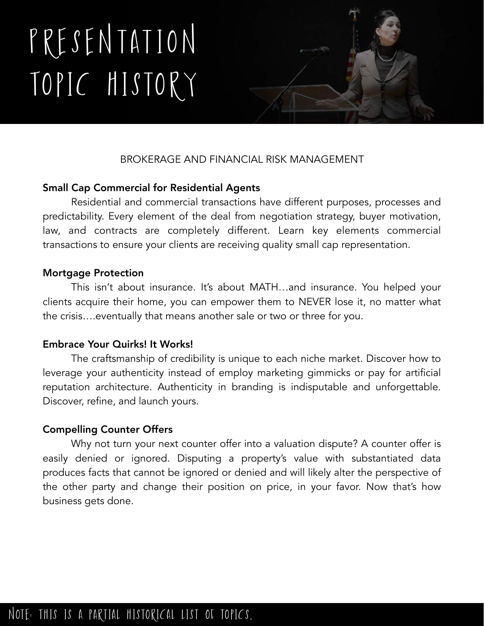# Presentation Topic history



# BROKERAGE AND FINANCIAL RISK MANAGEMENT

# Small Cap Commercial for Residential Agents

 Residential and commercial transactions have different purposes, processes and predictability. Every element of the deal from negotiation strategy, buyer motivation, law, and contracts are completely different. Learn key elements commercial transactions to ensure your clients are receiving quality small cap representation.

#### Mortgage Protection

 This isn't about insurance. It's about MATH…and insurance. You helped your clients acquire their home, you can empower them to NEVER lose it, no matter what the crisis….eventually that means another sale or two or three for you.

## Embrace Your Quirks! It Works!

 The craftsmanship of credibility is unique to each niche market. Discover how to leverage your authenticity instead of employ marketing gimmicks or pay for artificial reputation architecture. Authenticity in branding is indisputable and unforgettable. Discover, refine, and launch yours.

## Compelling Counter Offers

 Why not turn your next counter offer into a valuation dispute? A counter offer is easily denied or ignored. Disputing a property's value with substantiated data produces facts that cannot be ignored or denied and will likely alter the perspective of the other party and change their position on price, in your favor. Now that's how business gets done.

# note: This is a partial historical list of topics,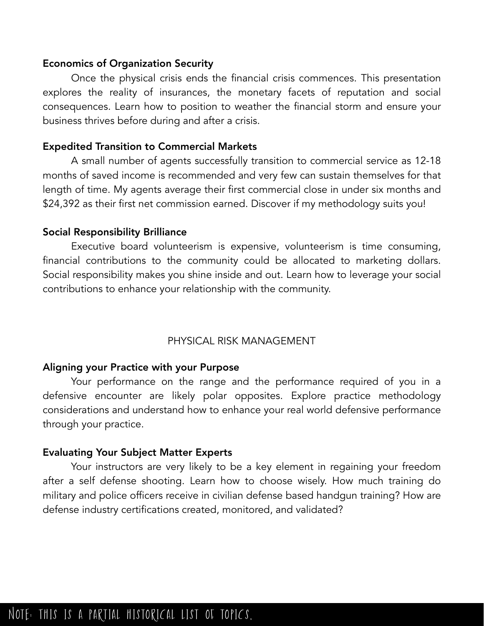#### Economics of Organization Security

Once the physical crisis ends the financial crisis commences. This presentation explores the reality of insurances, the monetary facets of reputation and social consequences. Learn how to position to weather the financial storm and ensure your business thrives before during and after a crisis.

#### Expedited Transition to Commercial Markets

A small number of agents successfully transition to commercial service as 12-18 months of saved income is recommended and very few can sustain themselves for that length of time. My agents average their first commercial close in under six months and \$24,392 as their first net commission earned. Discover if my methodology suits you!

#### Social Responsibility Brilliance

 Executive board volunteerism is expensive, volunteerism is time consuming, financial contributions to the community could be allocated to marketing dollars. Social responsibility makes you shine inside and out. Learn how to leverage your social contributions to enhance your relationship with the community.

#### PHYSICAL RISK MANAGEMENT

#### Aligning your Practice with your Purpose

 Your performance on the range and the performance required of you in a defensive encounter are likely polar opposites. Explore practice methodology considerations and understand how to enhance your real world defensive performance through your practice.

#### Evaluating Your Subject Matter Experts

 Your instructors are very likely to be a key element in regaining your freedom after a self defense shooting. Learn how to choose wisely. How much training do military and police officers receive in civilian defense based handgun training? How are defense industry certifications created, monitored, and validated?

# note: This is a partial historical list of topics,